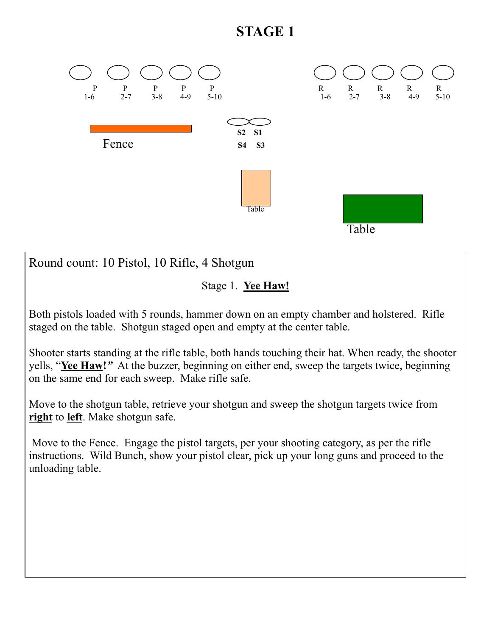# **STAGE 1**



Round count: 10 Pistol, 10 Rifle, 4 Shotgun

### Stage 1. **Yee Haw!**

Both pistols loaded with 5 rounds, hammer down on an empty chamber and holstered. Rifle staged on the table. Shotgun staged open and empty at the center table.

Shooter starts standing at the rifle table, both hands touching their hat. When ready, the shooter yells, "**Yee Haw!***"* At the buzzer, beginning on either end, sweep the targets twice, beginning on the same end for each sweep. Make rifle safe.

Move to the shotgun table, retrieve your shotgun and sweep the shotgun targets twice from **right** to **left**. Make shotgun safe.

 Move to the Fence. Engage the pistol targets, per your shooting category, as per the rifle instructions. Wild Bunch, show your pistol clear, pick up your long guns and proceed to the unloading table.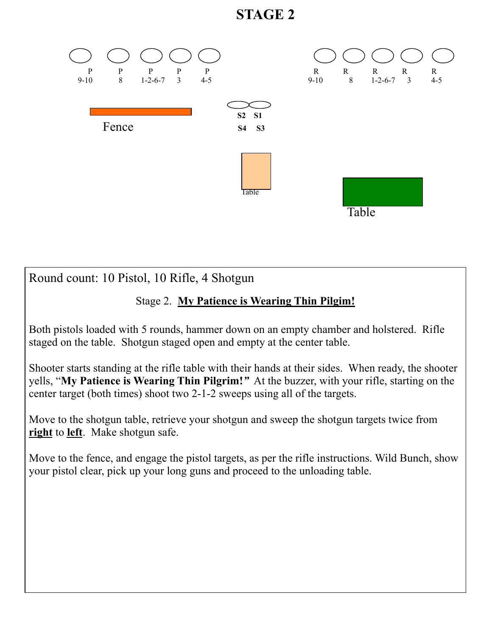## **STAGE 2**



Round count: 10 Pistol, 10 Rifle, 4 Shotgun

### Stage 2. **My Patience is Wearing Thin Pilgim!**

Both pistols loaded with 5 rounds, hammer down on an empty chamber and holstered. Rifle staged on the table. Shotgun staged open and empty at the center table.

Shooter starts standing at the rifle table with their hands at their sides. When ready, the shooter yells, "**My Patience is Wearing Thin Pilgrim!***"* At the buzzer, with your rifle, starting on the center target (both times) shoot two 2-1-2 sweeps using all of the targets.

Move to the shotgun table, retrieve your shotgun and sweep the shotgun targets twice from **right** to **left**. Make shotgun safe.

Move to the fence, and engage the pistol targets, as per the rifle instructions. Wild Bunch, show your pistol clear, pick up your long guns and proceed to the unloading table.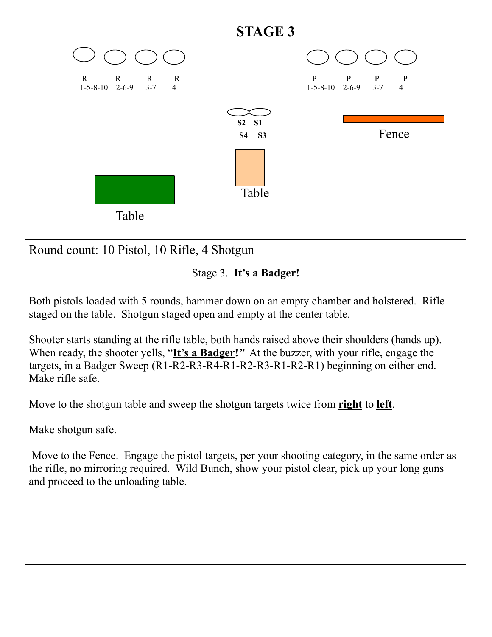

Round count: 10 Pistol, 10 Rifle, 4 Shotgun



Both pistols loaded with 5 rounds, hammer down on an empty chamber and holstered. Rifle staged on the table. Shotgun staged open and empty at the center table.

Shooter starts standing at the rifle table, both hands raised above their shoulders (hands up). When ready, the shooter yells, "It's a Badger!" At the buzzer, with your rifle, engage the targets, in a Badger Sweep (R1-R2-R3-R4-R1-R2-R3-R1-R2-R1) beginning on either end. Make rifle safe.

Move to the shotgun table and sweep the shotgun targets twice from **right** to **left**.

Make shotgun safe.

 Move to the Fence. Engage the pistol targets, per your shooting category, in the same order as the rifle, no mirroring required. Wild Bunch, show your pistol clear, pick up your long guns and proceed to the unloading table.